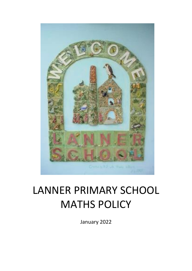

# LANNER PRIMARY SCHOOL MATHS POLICY

January 2022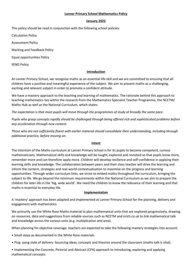## **Lanner Primary School Mathematics Policy**

## **January 2022**

This policy should be read in conjunction with the following school policies:

Calculation Policy

Assessment Policy

Marking and Feedback Policy

Equal opportunities Policy

SEND Policy

# **Introduction**

At Lanner Primary School, we recognise maths as an essential life skill and we are committed to ensuring that all children have a positive and meaningful experience of the subject. We aim to present maths as a challenging, exciting and relevant subject in order to promote a confident attitude.

We have a mastery approach to the teaching and learning of mathematics. The rationale behind this approach to teaching mathematics lies within the research from the Mathematics Specialist Teacher Programme, the NCETM/ Maths Hub as well as the National Curriculum, which states:

*The expectation is that most pupils will move through the programmes of study at broadly the same pace.*

*Pupils who grasp concepts rapidly should be challenged through being offered rich and sophisticated problems before any acceleration through new content.* 

*Those who are not sufficiently fluent with earlier material should consolidate their understanding, including through additional practice, before moving on.* 

# **Intent**

The intention of the Maths curriculum at Lanner Primary School is for its pupils to become competent, curious mathematicians. Mathematical skills and knowledge will be taught, explored and revisited so that pupils know more, remember more and can therefore apply more. Children will develop resilience and self-confidence in applying their learning skills and knowledge. The collaboration between peers and their class teacher will drive the learning and inform the content, strategies and real-world contextualisation to maximise on the progress and learning opportunities. Through wider curriculum links, we strive to embed maths throughout the curriculum, bringing the subject to life. We go beyond the minimum requirements within the National Curriculum as we aim to prepare the children for later life in the 'big, wide world'. We need the children to know the relevance of their learning and that maths is essential to everyday life.

# **Implementation**

A 'mastery' approach has been adapted and implemented at Lanner Primary School for the planning, delivery and engagement with mathematics.

We primarily use the White Rose Maths material to plan mathematical units that are explored progressively, drawing on resources, data and suggestions from reliable sources such as NCETM and nrich.co.uk to link mathematical talk and knowledge across the various units (e.g. multiplication and area).

When planning for objective coverage, teachers are expected to take the following mastery strategies into account:

• Small steps as documented in the White Rose materials.

- Ping- pong style of delivery- bouncing ideas, concepts and theories around the classroom (maths talk is vital).
- Implementing the Concrete, Pictorial and Abstract (CPA) approach to introducing, exploring and applying mathematical concepts.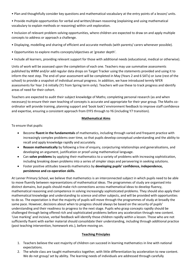• Plan and thoughtfully consider key questions and mathematical vocabulary at the entry points of a lesson/ units.

• Provide multiple opportunities for verbal and written/drawn reasoning (explaining and using mathematical vocabulary to explain methods or reasoning) within unit exploration.

• Inclusion of relevant problem-solving opportunities, where children are expected to draw on and apply multiple concepts to address or approach a challenge.

- Displaying, modelling and sharing of efficient and accurate methods (with parents/ carers whenever possible).
- Opportunities to explore maths concepts/objectives at 'greater depth'.

• Include all learners, providing relevant support for those with additional needs (educational, medical or otherwise).

Units of work will be assessed upon the completion of each one. Teachers may use summative assessments published by WRM and/or add regular data drops on Target Tracker using the statements provided and using it to inform the next step. The end-of-year assessment will be completed in May (Years 2 and 6 SATs) or June (rest of the school) to provide a snapshot of individual annual progress. In addition, we have introduced termly NFER assessments for Year 2-6 initially (Y1 from Spring term only). Teachers will use these to track progress and identify areas of need for their cohort.

Teachers are expected to audit their subject knowledge of Maths; completing personal research (as and when necessary) to ensure their own teaching of concepts is accurate and appropriate for their year group. The Maths coordinator will provide training, planning support and 'book look'/ environment feedback to improve staff confidence and expertise, ensuring a consistent approach from EYFS through to Y6 (including Y7 transition).

# **Mathematical Aims**

To ensure that pupils:

- Become **fluent in the fundamentals** of mathematics, including through varied and frequent practice with increasingly complex problems over time, so that pupils develop conceptual understanding and the ability to recall and apply knowledge rapidly and accurately.
- **Reason mathematically** by following a line of enquiry, conjecturing relationships and generalisations, and developing an argument, justification or proof using mathematical language.
- Can **solve problems** by applying their mathematics to a variety of problems with increasing sophistication, including breaking down problems into a series of simpler steps and persevering in seeking solutions.
- Foster positive attitudes towards mathematics by **developing pupils' confidence, independence, persistence and co-operation skills.**

At Lanner Primary School, we believe that mathematics is an interconnected subject in which pupils need to be able to move fluently between representations of mathematical ideas. The programmes of study are organised into distinct domains, but pupils should make rich connections across mathematical ideas to develop fluency, mathematical reasoning and competence in solving increasingly sophisticated problems. They should also apply their mathematical knowledge and understanding to science and other subjects, and will be provided with opportunities to do so. The expectation is that the majority of pupils will move through the programmes of study at broadly the same pace. However, decisions about when to progress should always be based on the security of pupils' understanding and their readiness to progress to the next stage. Pupils who grasp concepts rapidly should be challenged through being offered rich and sophisticated problems before any acceleration through new content. 'Live marking' and incisive, verbal feedback will identify those children rapidly within a lesson. Those who are not sufficiently fluent with earlier material should consolidate their understanding, including through additional practice (post teaching intervention, homework etc.), before moving on.

# **Teaching Principles**

- 1. Teachers believe the vast majority of children can succeed in learning mathematics in line with national expectations.
- 2. The whole class are taught mathematics together, with little differentiation by acceleration to new content. We do not group/ set by ability. The learning needs of individuals are addressed through carefully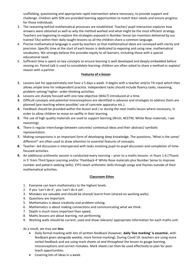scaffolding, questioning and appropriate rapid intervention where necessary, to provide support and challenge. Children with SEN are provided learning opportunities to match their needs and ensure progress for those individuals.

- 3. The reasoning behind mathematical processes are established. Teacher/ pupil interaction explores *how*  answers were obtained as well as *why* the method worked and what might be the most efficient strategy. Teachers are beginning to explore the strategies exposed in Number Sense (an invention delivered by our trained TAs) within their daily taught lessons so all the children share a common language.
- 4. Precise mathematical language is used by teachers so that mathematical ideas are conveyed with clarity and precision. Specific time at the start of each lesson is dedicated to exposing and using new, mathematical vocabulary. We strongly believe this provides equity to all learners, including those with a special educational need.
- 5. Sufficient time is spent on key concepts to ensure learning is well developed and deeply embedded before moving on. Paired talk is used to consolidate learning: children are often asked to share a method or explain/ reason with a partner.

# **Features of a lesson**

- **1.** Lessons last for approximately one hour x 5 days a week. It begins with a teacher and/or TA input which then allows ample time for independent practice. Independent tasks should include fluency tasks, reasoning, problem solving/ higher- order-thinking activities.
- **2.** Lessons are sharply focused with one new objective (WALT) introduced at a time.
- **3.** Difficult concepts and potential misconceptions are identified in advance and strategies to address them are planned (pre teaching where possible/ use of concrete apparatus etc.).
- **4.** Feedback should be provided within the lesson and / or during the next maths lesson where necessary, in order to allow children to move on swiftly in their learning.
- **5.** The use of high quality materials are used to support learning (Nrich, NCETM, White Rose materials, I see reasoning).
- **6.** There is regular interchange between concrete/ contextual ideas and their abstract/ symbolic representation.
- **7.** Making comparisons is an important form of developing deep knowledge. The questions, 'What is the same/ different?' are often used to draw attention to essential features of concepts.
- **8.** Teacher- led discussion is interspersed with tasks involving pupil-to-pupil discussion and completion of timefocused activities.
- **9.** An additional arithmetic session is conducted every morning prior to a maths lessons- in Years 1-6 ('Fluent in 5' from Third Space Learning and/or 'Flashback 4' White Rose materials plus Number Sense to improve number and pattern-seeking skills). EYFS teach arithmetic skills through songs and rhymes outside of their mathematical activities.

# **Classroom Ethos**

- 1. Everyone can learn mathematics to the highest levels.
- 2. If you 'can't do it', you 'can't do it yet'.
- 3. Mistakes are valuable and should be shared/ learnt from (shared on working walls).
- 4. Questions are important.
- 5. Mathematics is about creativity and problem solving.
- 6. Mathematics is about making connections and communicating what we think.
- 7. Depth is much more important than speed.
- 8. Maths lessons are about learning, not performing.
- 9. Working walls should be current, used and show relevant/ appropriate information for each maths unit.

As a result, we may see **less:**

- Daily formal marking with *lots* of written feedback (however, **daily 'live marking' is essentia**l, with feedback given alongside weekly, more formal marking). During Covid 19, teachers are using more verbal feedback and are using mark sheets *at and throughout* the lesson to gauge learning, misconceptions and correct mistakes. Mark sheets can then be used effectively to plan for postteach opportunities.
- Covering lots of ideas in a week.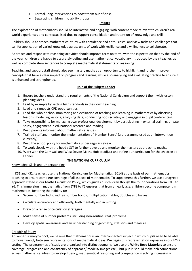- Formal, long interventions to boost them out of class.
- Separating children into ability groups.

## **Impact**

The exploration of mathematics should be interactive and engaging, with content made relevant to children's realworld experiences and contextualised thus to support consolidation and retention of knowledge and skill.

Children should approach mathematical study with confidence and enthusiasm, and view tasks and challenges that call for application of varied knowledge across units of work with resilience and a willingness to collaborate.

Approach and response to reasoning activities should improve term on term, with the expectation that by the end of the year, children are happy to accurately define and use mathematical vocabulary introduced by their teacher, as well as complete stem sentences to complete mathematical statements or reasoning.

Teaching and support staff should also see mastery maths as an opportunity to highlight and further improve concepts that have a clear impact on progress and learning, while also analysing and evaluating practice to ensure it is enhanced and strengthened.

# **Role of the Subject Leader**

- 1. Ensure teachers understand the requirements of the National Curriculum and support them with lesson planning ideas.
- 2. Lead by example by setting high standards in their own teaching.
- 3. Lead and signposts CPD opportunities.
- 4. Lead the whole school monitoring and evaluation of teaching and learning in mathematics by observing lessons, modelling lessons, analysing data, conducting book scrutiny and engaging in pupil conferencing.
- 5. Take responsibility for managing own professional development by participating in external training, private study, engagement in educational research and reading.
- 6. Keep parents informed about mathematical issues.
- 7. Trained staff and monitor the implementation of 'Number Sense' (a programme used as an intervention currently).
- 8. Keep the school policy for mathematics under regular review.
- 9. To work closely with the head / SLT to further develop and monitor the mastery approach to maths.
- 10. Work with the Cornwall and West Devon Maths Hub to adjust and refine our curriculum for the children at Lanner.

# **THE NATIONAL CURRICULUM**

Knowledge, Skills and Understanding

In KS1 and KS2, teachers use the National Curriculum for Mathematics (2014) as the basis of our mathematics teaching to ensure complete coverage of all aspects of mathematics. To supplement this further, we use our agreed approach stated in our Maths Calculation Policy, which guides our children though the four operations from EYFS to Y6. This immersion in mathematics from EYFS to Y6 ensures that from an early age, children become competent in mathematics, fostering their ability to:

- Secure number facts, such as number bonds, multiplication tables, doubles and halves
- Calculate accurately and efficiently, both mentally and in writing
- Draw on a range of calculation strategies
- Make sense of number problems, including non-routine 'real' problems
- Develop spatial awareness and an understanding of geometry, statistics and measure.

# Breadth of Study

At Lanner Primary School, we believe that mathematics is an interconnected subject in which pupils need to be able to move fluently between representations of mathematical ideas. We begin this representation exposure in our EYFS setting. The programmes of study are organised into distinct domains (we use the **White Rose Materials** to ensure coverage, progression and consistency of approach/ models/ images etc.), but pupils should make rich connections across mathematical ideas to develop fluency, mathematical reasoning and competence in solving increasingly